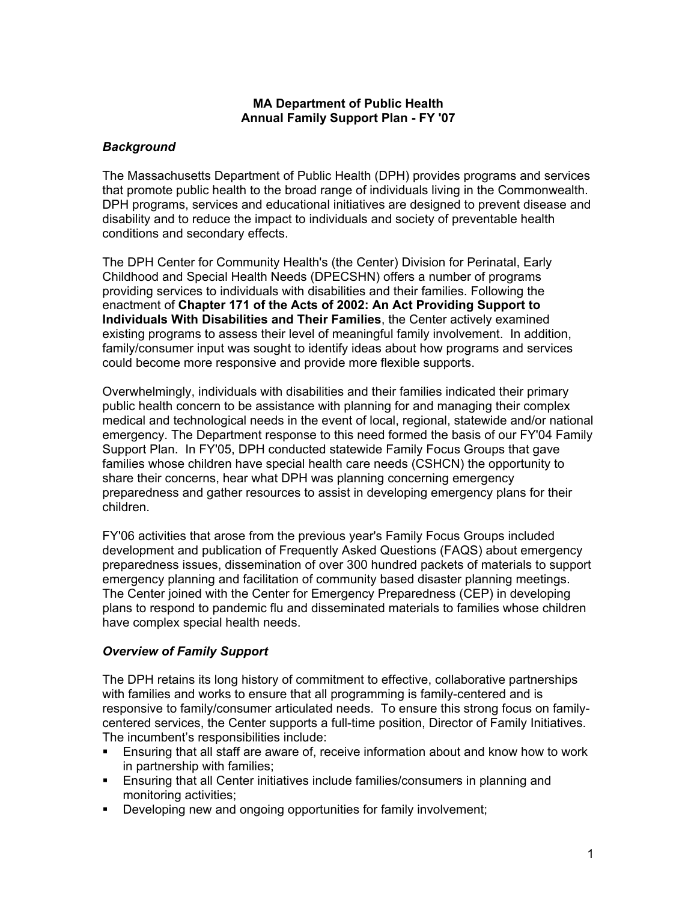#### **MA Department of Public Health Annual Family Support Plan - FY '07**

# *Background*

The Massachusetts Department of Public Health (DPH) provides programs and services that promote public health to the broad range of individuals living in the Commonwealth. DPH programs, services and educational initiatives are designed to prevent disease and disability and to reduce the impact to individuals and society of preventable health conditions and secondary effects.

The DPH Center for Community Health's (the Center) Division for Perinatal, Early Childhood and Special Health Needs (DPECSHN) offers a number of programs providing services to individuals with disabilities and their families. Following the enactment of **Chapter 171 of the Acts of 2002: An Act Providing Support to Individuals With Disabilities and Their Families**, the Center actively examined existing programs to assess their level of meaningful family involvement. In addition, family/consumer input was sought to identify ideas about how programs and services could become more responsive and provide more flexible supports.

Overwhelmingly, individuals with disabilities and their families indicated their primary public health concern to be assistance with planning for and managing their complex medical and technological needs in the event of local, regional, statewide and/or national emergency. The Department response to this need formed the basis of our FY'04 Family Support Plan. In FY'05, DPH conducted statewide Family Focus Groups that gave families whose children have special health care needs (CSHCN) the opportunity to share their concerns, hear what DPH was planning concerning emergency preparedness and gather resources to assist in developing emergency plans for their children.

FY'06 activities that arose from the previous year's Family Focus Groups included development and publication of Frequently Asked Questions (FAQS) about emergency preparedness issues, dissemination of over 300 hundred packets of materials to support emergency planning and facilitation of community based disaster planning meetings. The Center joined with the Center for Emergency Preparedness (CEP) in developing plans to respond to pandemic flu and disseminated materials to families whose children have complex special health needs.

### *Overview of Family Support*

The DPH retains its long history of commitment to effective, collaborative partnerships with families and works to ensure that all programming is family-centered and is responsive to family/consumer articulated needs. To ensure this strong focus on familycentered services, the Center supports a full-time position, Director of Family Initiatives. The incumbent's responsibilities include:

- Ensuring that all staff are aware of, receive information about and know how to work in partnership with families;
- Ensuring that all Center initiatives include families/consumers in planning and monitoring activities;
- Developing new and ongoing opportunities for family involvement;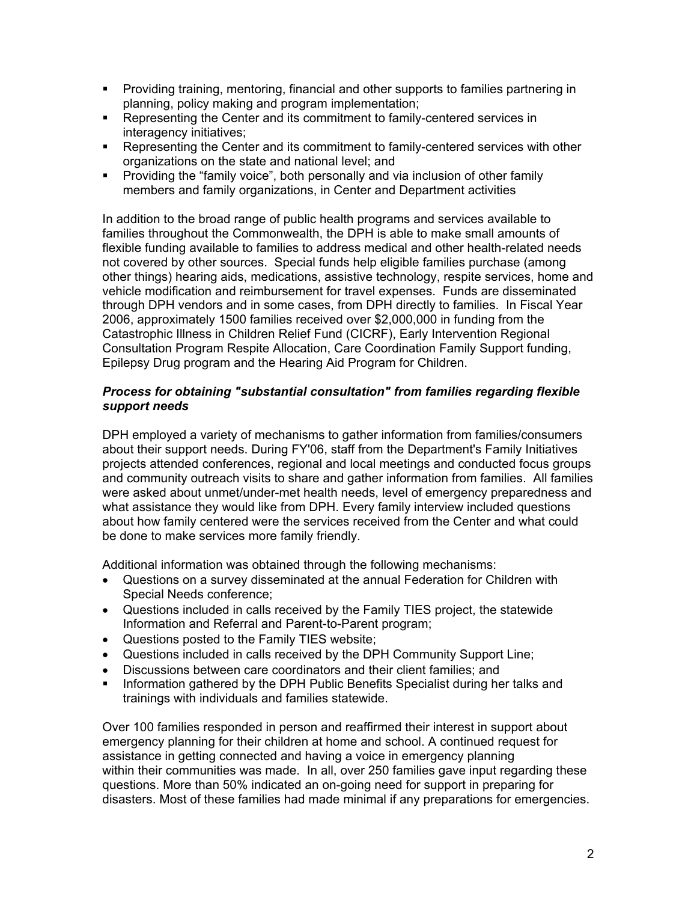- Providing training, mentoring, financial and other supports to families partnering in planning, policy making and program implementation;
- Representing the Center and its commitment to family-centered services in interagency initiatives;
- **Representing the Center and its commitment to family-centered services with other** organizations on the state and national level; and
- **Providing the "family voice", both personally and via inclusion of other family** members and family organizations, in Center and Department activities

In addition to the broad range of public health programs and services available to families throughout the Commonwealth, the DPH is able to make small amounts of flexible funding available to families to address medical and other health-related needs not covered by other sources. Special funds help eligible families purchase (among other things) hearing aids, medications, assistive technology, respite services, home and vehicle modification and reimbursement for travel expenses. Funds are disseminated through DPH vendors and in some cases, from DPH directly to families. In Fiscal Year 2006, approximately 1500 families received over \$2,000,000 in funding from the Catastrophic Illness in Children Relief Fund (CICRF), Early Intervention Regional Consultation Program Respite Allocation, Care Coordination Family Support funding, Epilepsy Drug program and the Hearing Aid Program for Children.

### *Process for obtaining "substantial consultation" from families regarding flexible support needs*

DPH employed a variety of mechanisms to gather information from families/consumers about their support needs. During FY'06, staff from the Department's Family Initiatives projects attended conferences, regional and local meetings and conducted focus groups and community outreach visits to share and gather information from families. All families were asked about unmet/under-met health needs, level of emergency preparedness and what assistance they would like from DPH. Every family interview included questions about how family centered were the services received from the Center and what could be done to make services more family friendly.

Additional information was obtained through the following mechanisms:

- Questions on a survey disseminated at the annual Federation for Children with Special Needs conference;
- Questions included in calls received by the Family TIES project, the statewide Information and Referral and Parent-to-Parent program;
- Questions posted to the Family TIES website;
- Questions included in calls received by the DPH Community Support Line;
- Discussions between care coordinators and their client families; and
- Information gathered by the DPH Public Benefits Specialist during her talks and trainings with individuals and families statewide.

Over 100 families responded in person and reaffirmed their interest in support about emergency planning for their children at home and school. A continued request for assistance in getting connected and having a voice in emergency planning within their communities was made. In all, over 250 families gave input regarding these questions. More than 50% indicated an on-going need for support in preparing for disasters. Most of these families had made minimal if any preparations for emergencies.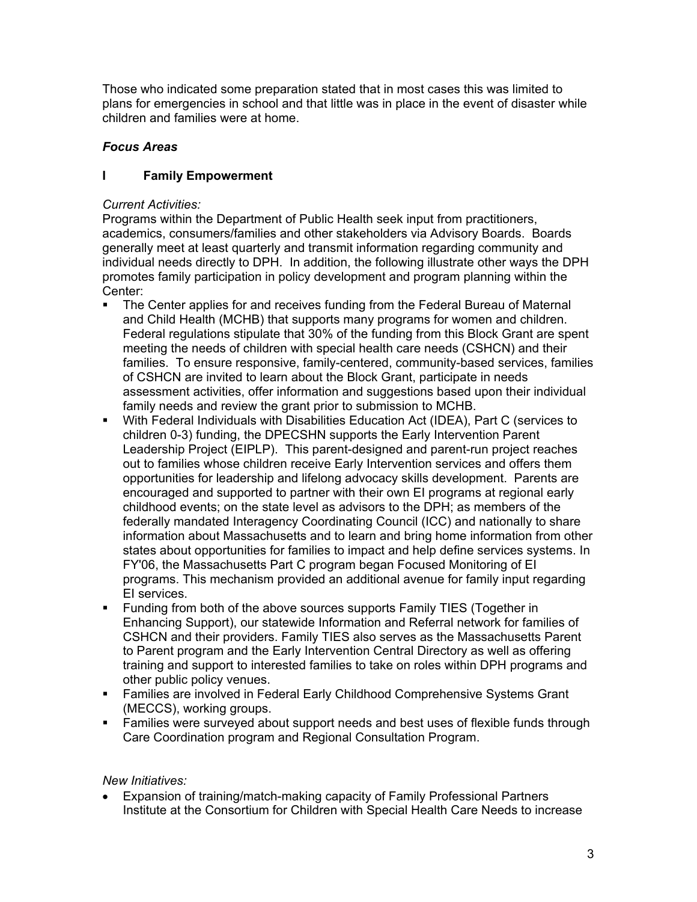Those who indicated some preparation stated that in most cases this was limited to plans for emergencies in school and that little was in place in the event of disaster while children and families were at home.

# *Focus Areas*

# **I Family Empowerment**

# *Current Activities:*

Programs within the Department of Public Health seek input from practitioners, academics, consumers/families and other stakeholders via Advisory Boards. Boards generally meet at least quarterly and transmit information regarding community and individual needs directly to DPH. In addition, the following illustrate other ways the DPH promotes family participation in policy development and program planning within the Center:

- The Center applies for and receives funding from the Federal Bureau of Maternal and Child Health (MCHB) that supports many programs for women and children. Federal regulations stipulate that 30% of the funding from this Block Grant are spent meeting the needs of children with special health care needs (CSHCN) and their families. To ensure responsive, family-centered, community-based services, families of CSHCN are invited to learn about the Block Grant, participate in needs assessment activities, offer information and suggestions based upon their individual family needs and review the grant prior to submission to MCHB.
- With Federal Individuals with Disabilities Education Act (IDEA), Part C (services to children 0-3) funding, the DPECSHN supports the Early Intervention Parent Leadership Project (EIPLP). This parent-designed and parent-run project reaches out to families whose children receive Early Intervention services and offers them opportunities for leadership and lifelong advocacy skills development. Parents are encouraged and supported to partner with their own EI programs at regional early childhood events; on the state level as advisors to the DPH; as members of the federally mandated Interagency Coordinating Council (ICC) and nationally to share information about Massachusetts and to learn and bring home information from other states about opportunities for families to impact and help define services systems. In FY'06, the Massachusetts Part C program began Focused Monitoring of EI programs. This mechanism provided an additional avenue for family input regarding EI services.
- Funding from both of the above sources supports Family TIES (Together in Enhancing Support), our statewide Information and Referral network for families of CSHCN and their providers. Family TIES also serves as the Massachusetts Parent to Parent program and the Early Intervention Central Directory as well as offering training and support to interested families to take on roles within DPH programs and other public policy venues.
- Families are involved in Federal Early Childhood Comprehensive Systems Grant (MECCS), working groups.
- Families were surveyed about support needs and best uses of flexible funds through Care Coordination program and Regional Consultation Program.

# *New Initiatives:*

• Expansion of training/match-making capacity of Family Professional Partners Institute at the Consortium for Children with Special Health Care Needs to increase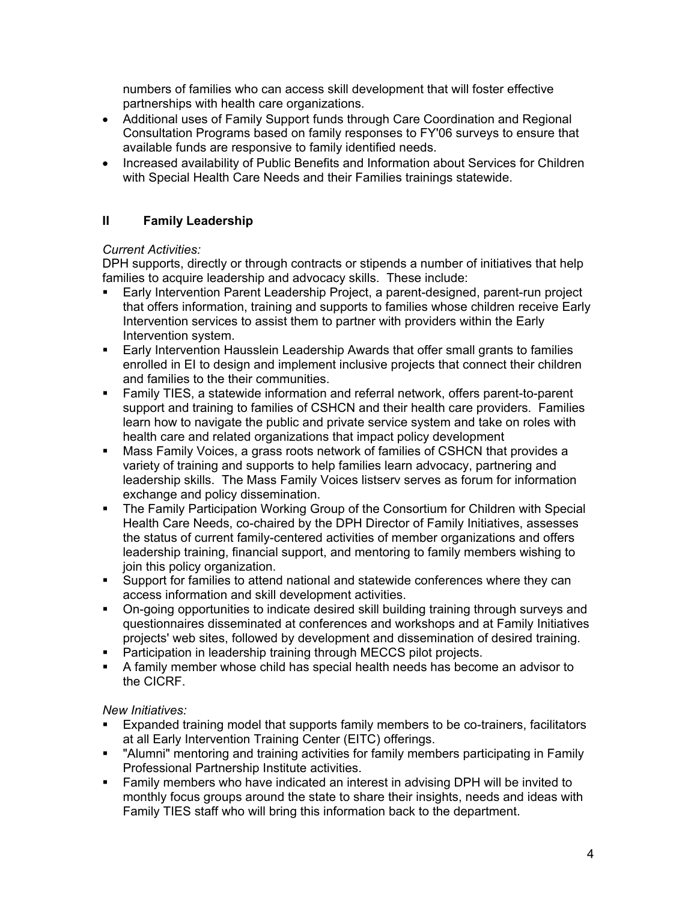numbers of families who can access skill development that will foster effective partnerships with health care organizations.

- Additional uses of Family Support funds through Care Coordination and Regional Consultation Programs based on family responses to FY'06 surveys to ensure that available funds are responsive to family identified needs.
- Increased availability of Public Benefits and Information about Services for Children with Special Health Care Needs and their Families trainings statewide.

# **II Family Leadership**

## *Current Activities:*

DPH supports, directly or through contracts or stipends a number of initiatives that help families to acquire leadership and advocacy skills. These include:

- Early Intervention Parent Leadership Project, a parent-designed, parent-run project that offers information, training and supports to families whose children receive Early Intervention services to assist them to partner with providers within the Early Intervention system.
- **Early Intervention Hausslein Leadership Awards that offer small grants to families** enrolled in EI to design and implement inclusive projects that connect their children and families to the their communities.
- Family TIES, a statewide information and referral network, offers parent-to-parent support and training to families of CSHCN and their health care providers. Families learn how to navigate the public and private service system and take on roles with health care and related organizations that impact policy development
- Mass Family Voices, a grass roots network of families of CSHCN that provides a variety of training and supports to help families learn advocacy, partnering and leadership skills. The Mass Family Voices listserv serves as forum for information exchange and policy dissemination.
- The Family Participation Working Group of the Consortium for Children with Special Health Care Needs, co-chaired by the DPH Director of Family Initiatives, assesses the status of current family-centered activities of member organizations and offers leadership training, financial support, and mentoring to family members wishing to join this policy organization.
- Support for families to attend national and statewide conferences where they can access information and skill development activities.
- On-going opportunities to indicate desired skill building training through surveys and questionnaires disseminated at conferences and workshops and at Family Initiatives projects' web sites, followed by development and dissemination of desired training.
- **Participation in leadership training through MECCS pilot projects.**
- A family member whose child has special health needs has become an advisor to the CICRF.

# *New Initiatives:*

- Expanded training model that supports family members to be co-trainers, facilitators at all Early Intervention Training Center (EITC) offerings.
- "Alumni" mentoring and training activities for family members participating in Family Professional Partnership Institute activities.
- Family members who have indicated an interest in advising DPH will be invited to monthly focus groups around the state to share their insights, needs and ideas with Family TIES staff who will bring this information back to the department.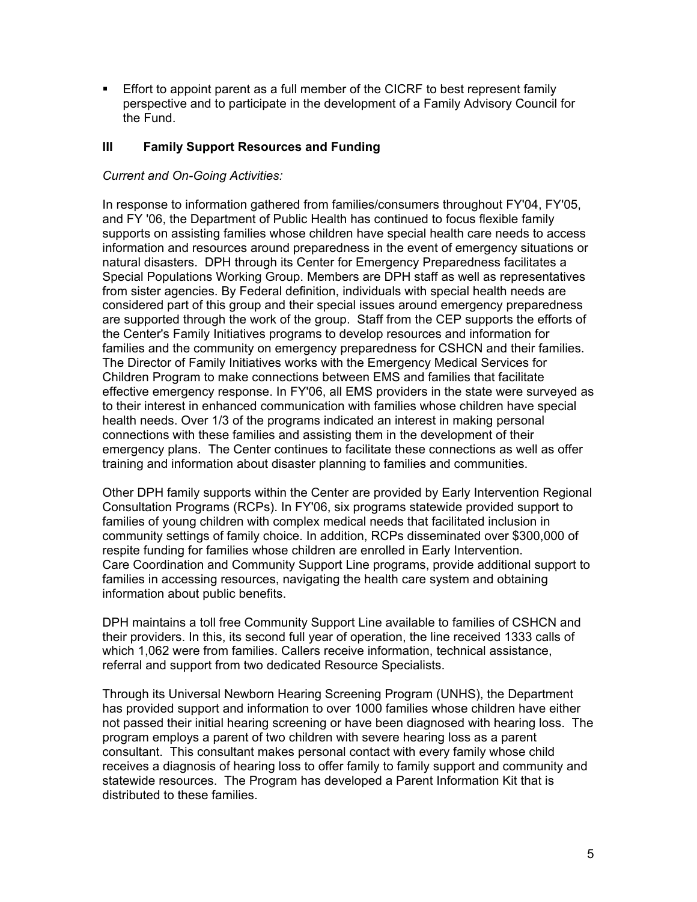Effort to appoint parent as a full member of the CICRF to best represent family perspective and to participate in the development of a Family Advisory Council for the Fund.

### **III Family Support Resources and Funding**

### *Current and On-Going Activities:*

In response to information gathered from families/consumers throughout FY'04, FY'05, and FY '06, the Department of Public Health has continued to focus flexible family supports on assisting families whose children have special health care needs to access information and resources around preparedness in the event of emergency situations or natural disasters. DPH through its Center for Emergency Preparedness facilitates a Special Populations Working Group. Members are DPH staff as well as representatives from sister agencies. By Federal definition, individuals with special health needs are considered part of this group and their special issues around emergency preparedness are supported through the work of the group. Staff from the CEP supports the efforts of the Center's Family Initiatives programs to develop resources and information for families and the community on emergency preparedness for CSHCN and their families. The Director of Family Initiatives works with the Emergency Medical Services for Children Program to make connections between EMS and families that facilitate effective emergency response. In FY'06, all EMS providers in the state were surveyed as to their interest in enhanced communication with families whose children have special health needs. Over 1/3 of the programs indicated an interest in making personal connections with these families and assisting them in the development of their emergency plans. The Center continues to facilitate these connections as well as offer training and information about disaster planning to families and communities.

Other DPH family supports within the Center are provided by Early Intervention Regional Consultation Programs (RCPs). In FY'06, six programs statewide provided support to families of young children with complex medical needs that facilitated inclusion in community settings of family choice. In addition, RCPs disseminated over \$300,000 of respite funding for families whose children are enrolled in Early Intervention. Care Coordination and Community Support Line programs, provide additional support to families in accessing resources, navigating the health care system and obtaining information about public benefits.

DPH maintains a toll free Community Support Line available to families of CSHCN and their providers. In this, its second full year of operation, the line received 1333 calls of which 1,062 were from families. Callers receive information, technical assistance, referral and support from two dedicated Resource Specialists.

Through its Universal Newborn Hearing Screening Program (UNHS), the Department has provided support and information to over 1000 families whose children have either not passed their initial hearing screening or have been diagnosed with hearing loss. The program employs a parent of two children with severe hearing loss as a parent consultant. This consultant makes personal contact with every family whose child receives a diagnosis of hearing loss to offer family to family support and community and statewide resources. The Program has developed a Parent Information Kit that is distributed to these families.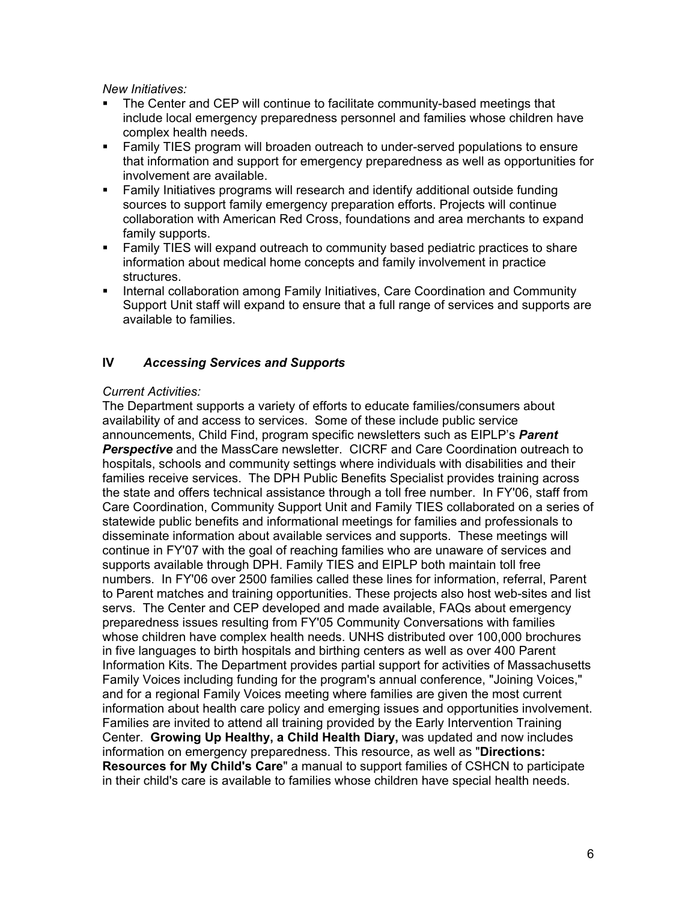*New Initiatives:* 

- The Center and CEP will continue to facilitate community-based meetings that include local emergency preparedness personnel and families whose children have complex health needs.
- Family TIES program will broaden outreach to under-served populations to ensure that information and support for emergency preparedness as well as opportunities for involvement are available.
- Family Initiatives programs will research and identify additional outside funding sources to support family emergency preparation efforts. Projects will continue collaboration with American Red Cross, foundations and area merchants to expand family supports.
- Family TIES will expand outreach to community based pediatric practices to share information about medical home concepts and family involvement in practice structures.
- **Internal collaboration among Family Initiatives, Care Coordination and Community** Support Unit staff will expand to ensure that a full range of services and supports are available to families.

## **IV** *Accessing Services and Supports*

### *Current Activities:*

The Department supports a variety of efforts to educate families/consumers about availability of and access to services. Some of these include public service announcements, Child Find, program specific newsletters such as EIPLP's *Parent Perspective* and the MassCare newsletter. CICRF and Care Coordination outreach to hospitals, schools and community settings where individuals with disabilities and their families receive services. The DPH Public Benefits Specialist provides training across the state and offers technical assistance through a toll free number. In FY'06, staff from Care Coordination, Community Support Unit and Family TIES collaborated on a series of statewide public benefits and informational meetings for families and professionals to disseminate information about available services and supports. These meetings will continue in FY'07 with the goal of reaching families who are unaware of services and supports available through DPH. Family TIES and EIPLP both maintain toll free numbers. In FY'06 over 2500 families called these lines for information, referral, Parent to Parent matches and training opportunities. These projects also host web-sites and list servs. The Center and CEP developed and made available, FAQs about emergency preparedness issues resulting from FY'05 Community Conversations with families whose children have complex health needs. UNHS distributed over 100,000 brochures in five languages to birth hospitals and birthing centers as well as over 400 Parent Information Kits. The Department provides partial support for activities of Massachusetts Family Voices including funding for the program's annual conference, "Joining Voices," and for a regional Family Voices meeting where families are given the most current information about health care policy and emerging issues and opportunities involvement. Families are invited to attend all training provided by the Early Intervention Training Center. **Growing Up Healthy, a Child Health Diary,** was updated and now includes information on emergency preparedness. This resource, as well as "**Directions: Resources for My Child's Care**" a manual to support families of CSHCN to participate in their child's care is available to families whose children have special health needs.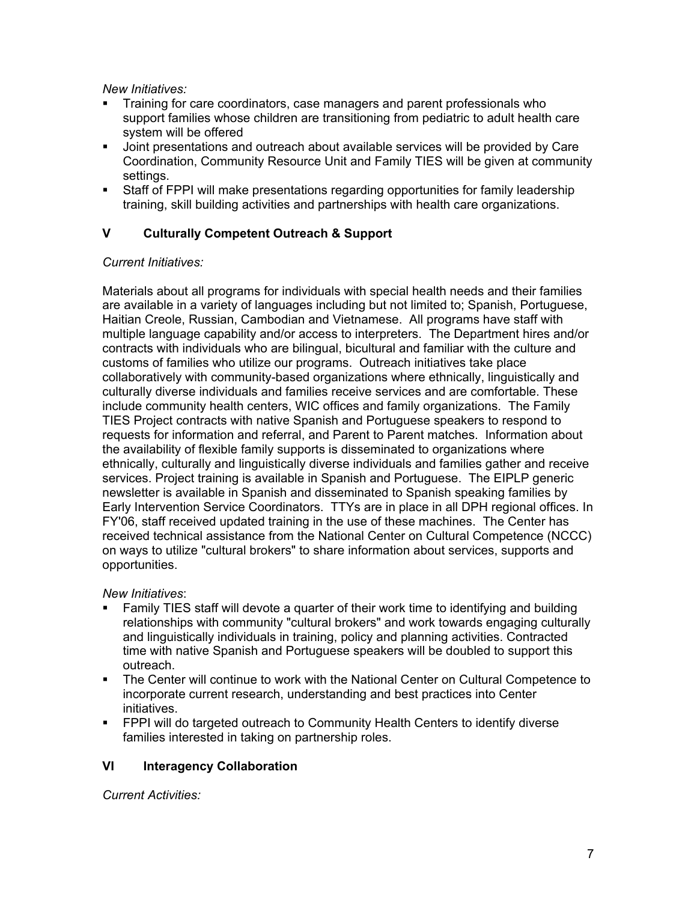*New Initiatives:*

- Training for care coordinators, case managers and parent professionals who support families whose children are transitioning from pediatric to adult health care system will be offered
- Joint presentations and outreach about available services will be provided by Care Coordination, Community Resource Unit and Family TIES will be given at community settings.
- Staff of FPPI will make presentations regarding opportunities for family leadership training, skill building activities and partnerships with health care organizations.

# **V Culturally Competent Outreach & Support**

#### *Current Initiatives:*

Materials about all programs for individuals with special health needs and their families are available in a variety of languages including but not limited to; Spanish, Portuguese, Haitian Creole, Russian, Cambodian and Vietnamese. All programs have staff with multiple language capability and/or access to interpreters. The Department hires and/or contracts with individuals who are bilingual, bicultural and familiar with the culture and customs of families who utilize our programs. Outreach initiatives take place collaboratively with community-based organizations where ethnically, linguistically and culturally diverse individuals and families receive services and are comfortable. These include community health centers, WIC offices and family organizations. The Family TIES Project contracts with native Spanish and Portuguese speakers to respond to requests for information and referral, and Parent to Parent matches. Information about the availability of flexible family supports is disseminated to organizations where ethnically, culturally and linguistically diverse individuals and families gather and receive services. Project training is available in Spanish and Portuguese. The EIPLP generic newsletter is available in Spanish and disseminated to Spanish speaking families by Early Intervention Service Coordinators. TTYs are in place in all DPH regional offices. In FY'06, staff received updated training in the use of these machines. The Center has received technical assistance from the National Center on Cultural Competence (NCCC) on ways to utilize "cultural brokers" to share information about services, supports and opportunities.

### *New Initiatives*:

- Family TIES staff will devote a quarter of their work time to identifying and building relationships with community "cultural brokers" and work towards engaging culturally and linguistically individuals in training, policy and planning activities. Contracted time with native Spanish and Portuguese speakers will be doubled to support this outreach.
- The Center will continue to work with the National Center on Cultural Competence to incorporate current research, understanding and best practices into Center initiatives.
- FPPI will do targeted outreach to Community Health Centers to identify diverse families interested in taking on partnership roles.

### **VI Interagency Collaboration**

*Current Activities:*